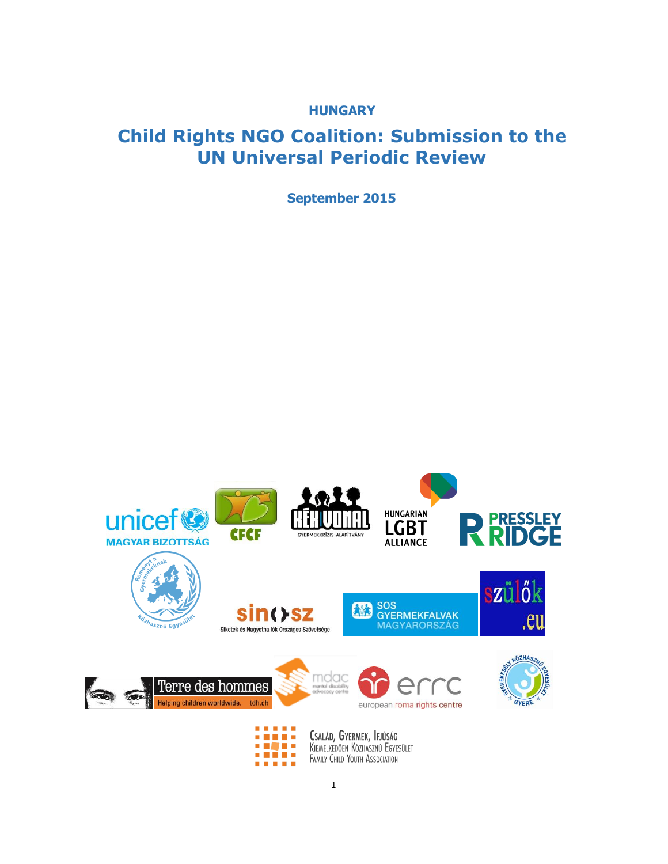**HUNGARY** 

# **Child Rights NGO Coalition: Submission to the UN Universal Periodic Review**

**September 2015**

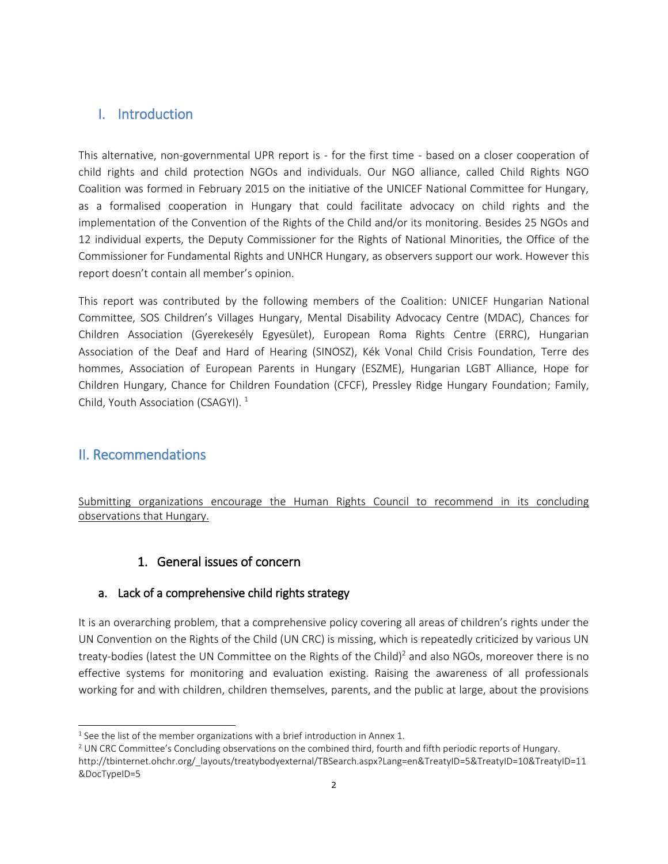# I. Introduction

This alternative, non-governmental UPR report is - for the first time - based on a closer cooperation of child rights and child protection NGOs and individuals. Our NGO alliance, called Child Rights NGO Coalition was formed in February 2015 on the initiative of the UNICEF National Committee for Hungary, as a formalised cooperation in Hungary that could facilitate advocacy on child rights and the implementation of the Convention of the Rights of the Child and/or its monitoring. Besides 25 NGOs and 12 individual experts, the Deputy Commissioner for the Rights of National Minorities, the Office of the Commissioner for Fundamental Rights and UNHCR Hungary, as observers support our work. However this report doesn't contain all member's opinion.

This report was contributed by the following members of the Coalition: UNICEF Hungarian National Committee, SOS Children's Villages Hungary, Mental Disability Advocacy Centre (MDAC), Chances for Children Association (Gyerekesély Egyesület), European Roma Rights Centre (ERRC), Hungarian Association of the Deaf and Hard of Hearing (SINOSZ), Kék Vonal Child Crisis Foundation, Terre des hommes, Association of European Parents in Hungary (ESZME), Hungarian LGBT Alliance, Hope for Children Hungary, Chance for Children Foundation (CFCF), Pressley Ridge Hungary Foundation; Family, Child, Youth Association (CSAGYI).<sup>1</sup>

# II. Recommendations

j

Submitting organizations encourage the Human Rights Council to recommend in its concluding observations that Hungary.

# 1. General issues of concern

# a. Lack of a comprehensive child rights strategy

It is an overarching problem, that a comprehensive policy covering all areas of children's rights under the UN Convention on the Rights of the Child (UN CRC) is missing, which is repeatedly criticized by various UN treaty-bodies (latest the UN Committee on the Rights of the Child)<sup>2</sup> and also NGOs, moreover there is no effective systems for monitoring and evaluation existing. Raising the awareness of all professionals working for and with children, children themselves, parents, and the public at large, about the provisions

 $1$  See the list of the member organizations with a brief introduction in Annex 1.

<sup>&</sup>lt;sup>2</sup> UN CRC Committee's Concluding observations on the combined third, fourth and fifth periodic reports of Hungary.

http://tbinternet.ohchr.org/\_layouts/treatybodyexternal/TBSearch.aspx?Lang=en&TreatyID=5&TreatyID=10&TreatyID=11 &DocTypeID=5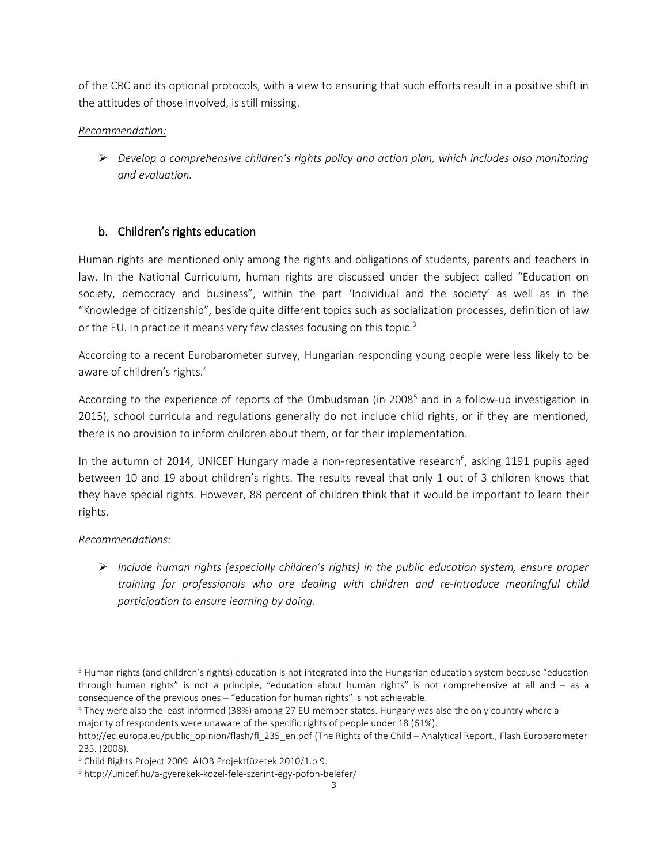of the CRC and its optional protocols, with a view to ensuring that such efforts result in a positive shift in the attitudes of those involved, is still missing.

# *Recommendation:*

 *Develop a comprehensive children's rights policy and action plan, which includes also monitoring and evaluation.*

# b. Children's rights education

Human rights are mentioned only among the rights and obligations of students, parents and teachers in law. In the National Curriculum, human rights are discussed under the subject called "Education on society, democracy and business", within the part 'Individual and the society' as well as in the "Knowledge of citizenship", beside quite different topics such as socialization processes, definition of law or the EU. In practice it means very few classes focusing on this topic.<sup>3</sup>

According to a recent Eurobarometer survey, Hungarian responding young people were less likely to be aware of children's rights.<sup>4</sup>

According to the experience of reports of the Ombudsman (in 2008<sup>5</sup> and in a follow-up investigation in 2015), school curricula and regulations generally do not include child rights, or if they are mentioned, there is no provision to inform children about them, or for their implementation.

In the autumn of 2014, UNICEF Hungary made a non-representative research<sup>6</sup>, asking 1191 pupils aged between 10 and 19 about children's rights. The results reveal that only 1 out of 3 children knows that they have special rights. However, 88 percent of children think that it would be important to learn their rights.

# *Recommendations:*

j

 *Include human rights (especially children's rights) in the public education system, ensure proper training for professionals who are dealing with children and re-introduce meaningful child participation to ensure learning by doing.*

<sup>&</sup>lt;sup>3</sup> Human rights (and children's rights) education is not integrated into the Hungarian education system because "education through human rights" is not a principle, "education about human rights" is not comprehensive at all and – as a consequence of the previous ones – "education for human rights" is not achievable.

<sup>4</sup> They were also the least informed (38%) among 27 EU member states. Hungary was also the only country where a majority of respondents were unaware of the specific rights of people under 18 (61%).

http://ec.europa.eu/public\_opinion/flash/fl\_235\_en.pdf (The Rights of the Child – Analytical Report., Flash Eurobarometer 235. (2008).

<sup>5</sup> Child Rights Project 2009. ÁJOB Projektfüzetek 2010/1.p 9.

<sup>6</sup> http://unicef.hu/a-gyerekek-kozel-fele-szerint-egy-pofon-belefer/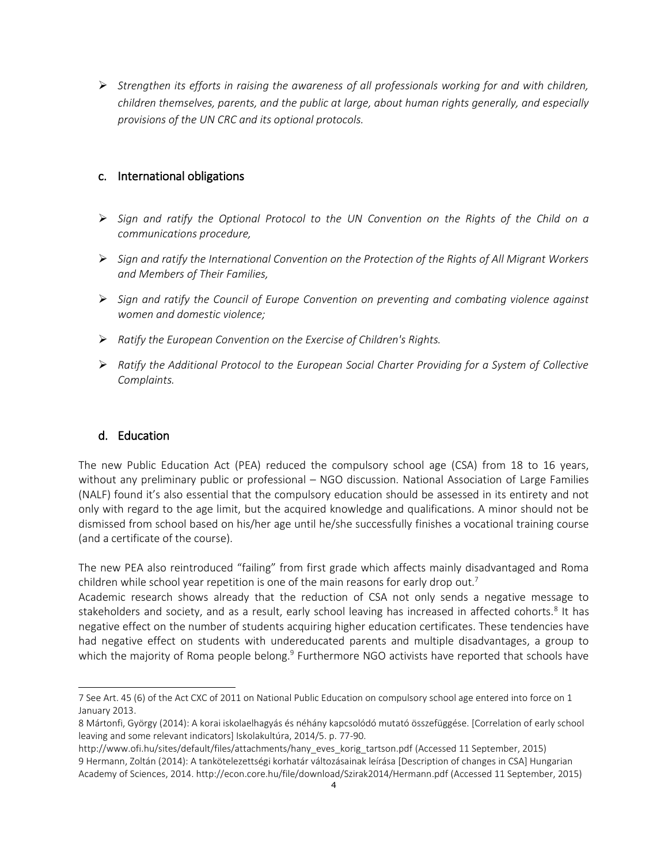*Strengthen its efforts in raising the awareness of all professionals working for and with children, children themselves, parents, and the public at large, about human rights generally, and especially provisions of the UN CRC and its optional protocols.*

# c. International obligations

- *Sign and ratify the Optional Protocol to the UN Convention on the Rights of the Child on a communications procedure,*
- *Sign and ratify the International Convention on the Protection of the Rights of All Migrant Workers and Members of Their Families,*
- *Sign and ratify the Council of Europe Convention on preventing and combating violence against women and domestic violence;*
- *Ratify the European Convention on the Exercise of Children's Rights.*
- *Ratify the Additional Protocol to the European Social Charter Providing for a System of Collective Complaints.*

# d. Education

j

The new Public Education Act (PEA) reduced the compulsory school age (CSA) from 18 to 16 years, without any preliminary public or professional – NGO discussion. National Association of Large Families (NALF) found it's also essential that the compulsory education should be assessed in its entirety and not only with regard to the age limit, but the acquired knowledge and qualifications. A minor should not be dismissed from school based on his/her age until he/she successfully finishes a vocational training course (and a certificate of the course).

The new PEA also reintroduced "failing" from first grade which affects mainly disadvantaged and Roma children while school year repetition is one of the main reasons for early drop out.<sup>7</sup>

Academic research shows already that the reduction of CSA not only sends a negative message to stakeholders and society, and as a result, early school leaving has increased in affected cohorts.<sup>8</sup> It has negative effect on the number of students acquiring higher education certificates. These tendencies have had negative effect on students with undereducated parents and multiple disadvantages, a group to which the majority of Roma people belong.<sup>9</sup> Furthermore NGO activists have reported that schools have

<sup>7</sup> See Art. 45 (6) of the Act CXC of 2011 on National Public Education on compulsory school age entered into force on 1 January 2013.

<sup>8</sup> Mártonfi, György (2014): A korai iskolaelhagyás és néhány kapcsolódó mutató összefüggése. [Correlation of early school leaving and some relevant indicators] Iskolakultúra, 2014/5. p. 77-90.

[http://www.ofi.hu/sites/default/files/attachments/hany\\_eves\\_korig\\_tartson.pdf](http://www.ofi.hu/sites/default/files/attachments/hany_eves_korig_tartson.pdf) (Accessed 11 September, 2015) 9 Hermann, Zoltán (2014): A tankötelezettségi korhatár változásainak leírása [Description of changes in CSA] Hungarian Academy of Sciences, 2014.<http://econ.core.hu/file/download/Szirak2014/Hermann.pdf> (Accessed 11 September, 2015)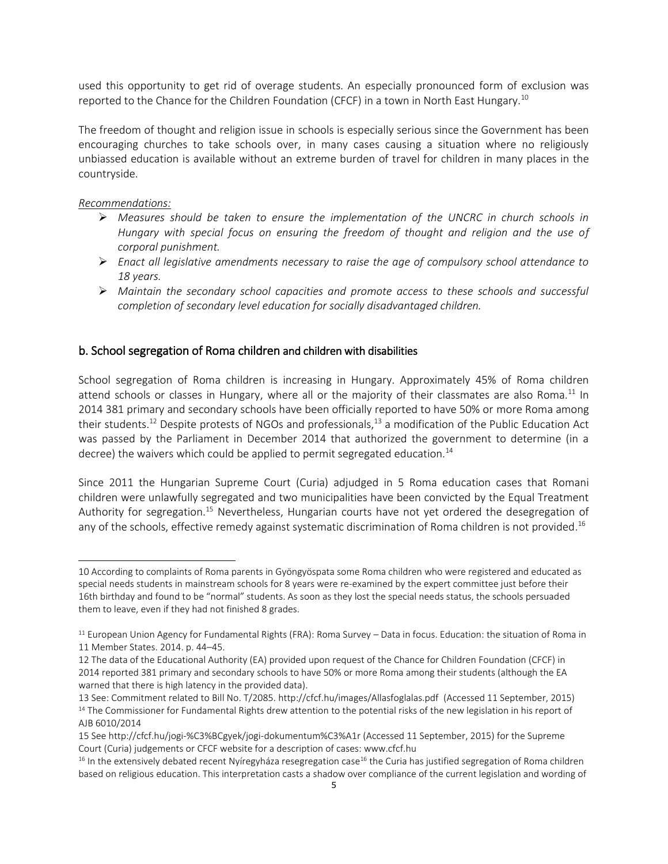used this opportunity to get rid of overage students. An especially pronounced form of exclusion was reported to the Chance for the Children Foundation (CFCF) in a town in North East Hungary.<sup>10</sup>

The freedom of thought and religion issue in schools is especially serious since the Government has been encouraging churches to take schools over, in many cases causing a situation where no religiously unbiassed education is available without an extreme burden of travel for children in many places in the countryside.

# *Recommendations:*

j

- *Measures should be taken to ensure the implementation of the UNCRC in church schools in Hungary with special focus on ensuring the freedom of thought and religion and the use of corporal punishment.*
- *Enact all legislative amendments necessary to raise the age of compulsory school attendance to 18 years.*
- *Maintain the secondary school capacities and promote access to these schools and successful completion of secondary level education for socially disadvantaged children.*

# b. School segregation of Roma children and children with disabilities

School segregation of Roma children is increasing in Hungary. Approximately 45% of Roma children attend schools or classes in Hungary, where all or the majority of their classmates are also Roma.<sup>11</sup> In 2014 381 primary and secondary schools have been officially reported to have 50% or more Roma among their students.<sup>12</sup> Despite protests of NGOs and professionals,<sup>13</sup> a modification of the Public Education Act was passed by the Parliament in December 2014 that authorized the government to determine (in a decree) the waivers which could be applied to permit segregated education.<sup>14</sup>

Since 2011 the Hungarian Supreme Court (Curia) adjudged in 5 Roma education cases that Romani children were unlawfully segregated and two municipalities have been convicted by the Equal Treatment Authority for segregation.<sup>15</sup> Nevertheless, Hungarian courts have not yet ordered the desegregation of any of the schools, effective remedy against systematic discrimination of Roma children is not provided.<sup>16</sup>

<sup>10</sup> According to complaints of Roma parents in Gyöngyöspata some Roma children who were registered and educated as special needs students in mainstream schools for 8 years were re-examined by the expert committee just before their 16th birthday and found to be "normal" students. As soon as they lost the special needs status, the schools persuaded them to leave, even if they had not finished 8 grades.

 $11$  European Union Agency for Fundamental Rights (FRA): Roma Survey – Data in focus. Education: the situation of Roma in 11 Member States. 2014. p. 44–45.

<sup>12</sup> The data of the Educational Authority (EA) provided upon request of the Chance for Children Foundation (CFCF) in 2014 reported 381 primary and secondary schools to have 50% or more Roma among their students (although the EA warned that there is high latency in the provided data).

<sup>13</sup> See: Commitment related to Bill No. T/2085.<http://cfcf.hu/images/Allasfoglalas.pdf>(Accessed 11 September, 2015) <sup>14</sup> The Commissioner for Fundamental Rights drew attention to the potential risks of the new legislation in his report of AJB 6010/2014

<sup>15</sup> Se[e http://cfcf.hu/jogi-%C3%BCgyek/jogi-dokumentum%C3%A1r](http://cfcf.hu/jogi-%C3%BCgyek/jogi-dokumentum%C3%A1r) (Accessed 11 September, 2015) for the Supreme Court (Curia) judgements or CFCF website for a description of cases: www.cfcf.hu

<sup>&</sup>lt;sup>16</sup> In the extensively debated recent Nyíregyháza resegregation case<sup>16</sup> the Curia has justified segregation of Roma children based on religious education. This interpretation casts a shadow over compliance of the current legislation and wording of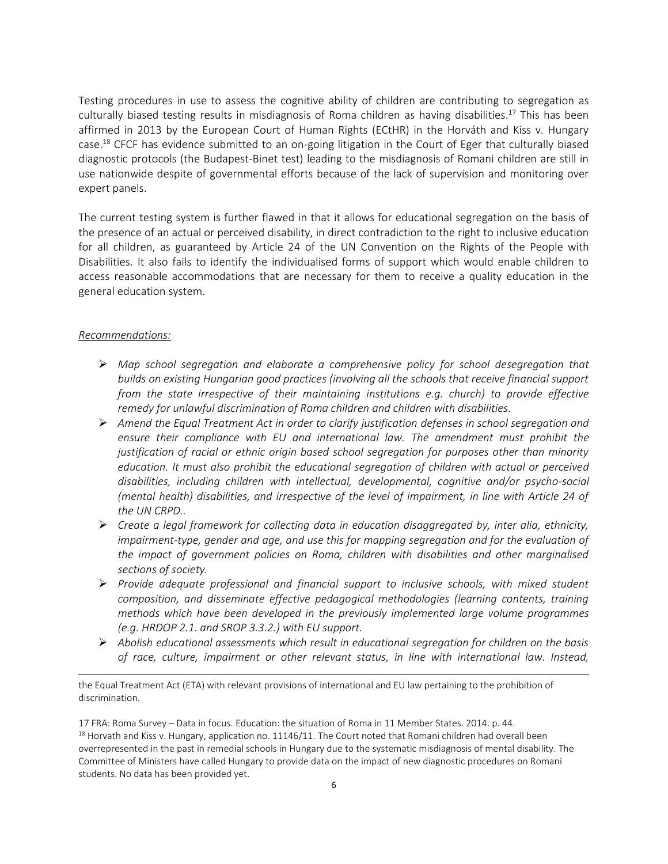Testing procedures in use to assess the cognitive ability of children are contributing to segregation as culturally biased testing results in misdiagnosis of Roma children as having disabilities. <sup>17</sup> This has been affirmed in 2013 by the European Court of Human Rights (ECtHR) in the Horváth and Kiss v. Hungary case.<sup>18</sup> CFCF has evidence submitted to an on-going litigation in the Court of Eger that culturally biased diagnostic protocols (the Budapest-Binet test) leading to the misdiagnosis of Romani children are still in use nationwide despite of governmental efforts because of the lack of supervision and monitoring over expert panels.

The current testing system is further flawed in that it allows for educational segregation on the basis of the presence of an actual or perceived disability, in direct contradiction to the right to inclusive education for all children, as guaranteed by Article 24 of the UN Convention on the Rights of the People with Disabilities. It also fails to identify the individualised forms of support which would enable children to access reasonable accommodations that are necessary for them to receive a quality education in the general education system.

#### *Recommendations:*

j

- *Map school segregation and elaborate a comprehensive policy for school desegregation that builds on existing Hungarian good practices (involving all the schools that receive financial support from the state irrespective of their maintaining institutions e.g. church) to provide effective remedy for unlawful discrimination of Roma children and children with disabilities.*
- *Amend the Equal Treatment Act in order to clarify justification defenses in school segregation and ensure their compliance with EU and international law. The amendment must prohibit the justification of racial or ethnic origin based school segregation for purposes other than minority education. It must also prohibit the educational segregation of children with actual or perceived disabilities, including children with intellectual, developmental, cognitive and/or psycho-social (mental health) disabilities, and irrespective of the level of impairment, in line with Article 24 of the UN CRPD..*
- *Create a legal framework for collecting data in education disaggregated by, inter alia, ethnicity, impairment-type, gender and age, and use this for mapping segregation and for the evaluation of the impact of government policies on Roma, children with disabilities and other marginalised sections of society.*
- *Provide adequate professional and financial support to inclusive schools, with mixed student composition, and disseminate effective pedagogical methodologies (learning contents, training methods which have been developed in the previously implemented large volume programmes (e.g. HRDOP 2.1. and SROP 3.3.2.) with EU support.*
- *Abolish educational assessments which result in educational segregation for children on the basis of race, culture, impairment or other relevant status, in line with international law. Instead,*

17 FRA: Roma Survey – Data in focus. Education: the situation of Roma in 11 Member States. 2014. p. 44. <sup>18</sup> Horvath and Kiss v. Hungary, application no. 11146/11. The Court noted that Romani children had overall been overrepresented in the past in remedial schools in Hungary due to the systematic misdiagnosis of mental disability. The Committee of Ministers have called Hungary to provide data on the impact of new diagnostic procedures on Romani students. No data has been provided yet.

the Equal Treatment Act (ETA) with relevant provisions of international and EU law pertaining to the prohibition of discrimination.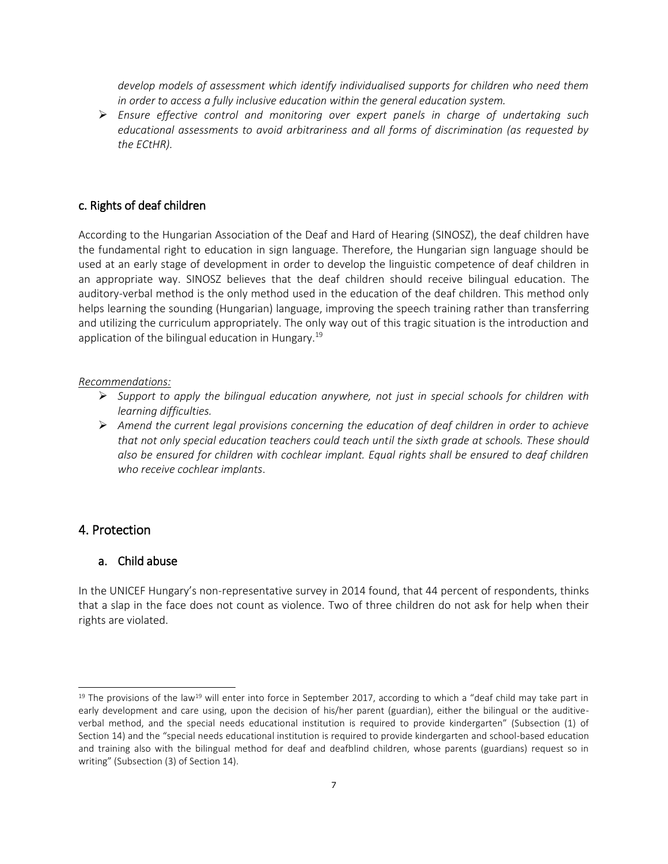*develop models of assessment which identify individualised supports for children who need them in order to access a fully inclusive education within the general education system.*

 *Ensure effective control and monitoring over expert panels in charge of undertaking such educational assessments to avoid arbitrariness and all forms of discrimination (as requested by the ECtHR).* 

# c. Rights of deaf children

According to the Hungarian Association of the Deaf and Hard of Hearing (SINOSZ), the deaf children have the fundamental right to education in sign language. Therefore, the Hungarian sign language should be used at an early stage of development in order to develop the linguistic competence of deaf children in an appropriate way. SINOSZ believes that the deaf children should receive bilingual education. The auditory-verbal method is the only method used in the education of the deaf children. This method only helps learning the sounding (Hungarian) language, improving the speech training rather than transferring and utilizing the curriculum appropriately. The only way out of this tragic situation is the introduction and application of the bilingual education in Hungary.<sup>19</sup>

#### *Recommendations:*

- *Support to apply the bilingual education anywhere, not just in special schools for children with learning difficulties.*
- *Amend the current legal provisions concerning the education of deaf children in order to achieve that not only special education teachers could teach until the sixth grade at schools. These should also be ensured for children with cochlear implant. Equal rights shall be ensured to deaf children who receive cochlear implants*.

## 4. Protection

j

### a. Child abuse

In the UNICEF Hungary's non-representative survey in 2014 found, that 44 percent of respondents, thinks that a slap in the face does not count as violence. Two of three children do not ask for help when their rights are violated.

 $19$  The provisions of the law<sup>19</sup> will enter into force in September 2017, according to which a "deaf child may take part in early development and care using, upon the decision of his/her parent (guardian), either the bilingual or the auditiveverbal method, and the special needs educational institution is required to provide kindergarten" (Subsection (1) of Section 14) and the "special needs educational institution is required to provide kindergarten and school-based education and training also with the bilingual method for deaf and deafblind children, whose parents (guardians) request so in writing" (Subsection (3) of Section 14).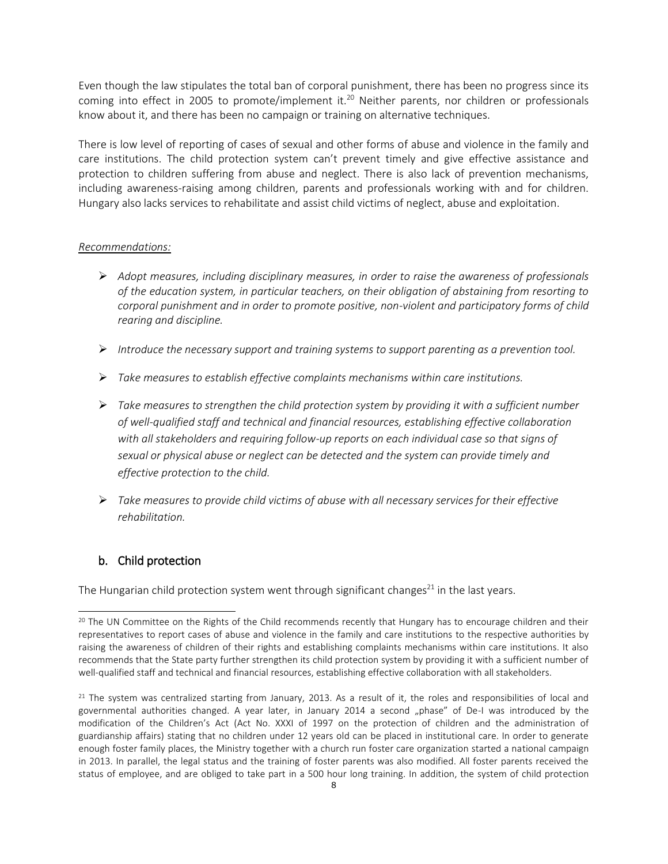Even though the law stipulates the total ban of corporal punishment, there has been no progress since its coming into effect in 2005 to promote/implement it.<sup>20</sup> Neither parents, nor children or professionals know about it, and there has been no campaign or training on alternative techniques.

There is low level of reporting of cases of sexual and other forms of abuse and violence in the family and care institutions. The child protection system can't prevent timely and give effective assistance and protection to children suffering from abuse and neglect. There is also lack of prevention mechanisms, including awareness-raising among children, parents and professionals working with and for children. Hungary also lacks services to rehabilitate and assist child victims of neglect, abuse and exploitation.

### *Recommendations:*

- *Adopt measures, including disciplinary measures, in order to raise the awareness of professionals of the education system, in particular teachers, on their obligation of abstaining from resorting to corporal punishment and in order to promote positive, non-violent and participatory forms of child rearing and discipline.*
- *Introduce the necessary support and training systems to support parenting as a prevention tool.*
- *Take measures to establish effective complaints mechanisms within care institutions.*
- *Take measures to strengthen the child protection system by providing it with a sufficient number of well-qualified staff and technical and financial resources, establishing effective collaboration*  with all stakeholders and requiring follow-up reports on each individual case so that signs of *sexual or physical abuse or neglect can be detected and the system can provide timely and effective protection to the child.*
- *Take measures to provide child victims of abuse with all necessary services for their effective rehabilitation.*

# b. Child protection

j

The Hungarian child protection system went through significant changes<sup>21</sup> in the last years.

<sup>&</sup>lt;sup>20</sup> The UN Committee on the Rights of the Child recommends recently that Hungary has to encourage children and their representatives to report cases of abuse and violence in the family and care institutions to the respective authorities by raising the awareness of children of their rights and establishing complaints mechanisms within care institutions. It also recommends that the State party further strengthen its child protection system by providing it with a sufficient number of well-qualified staff and technical and financial resources, establishing effective collaboration with all stakeholders.

 $21$  The system was centralized starting from January, 2013. As a result of it, the roles and responsibilities of local and governmental authorities changed. A year later, in January 2014 a second "phase" of De-I was introduced by the modification of the Children's Act (Act No. XXXI of 1997 on the protection of children and the administration of guardianship affairs) stating that no children under 12 years old can be placed in institutional care. In order to generate enough foster family places, the Ministry together with a church run foster care organization started a national campaign in 2013. In parallel, the legal status and the training of foster parents was also modified. All foster parents received the status of employee, and are obliged to take part in a 500 hour long training. In addition, the system of child protection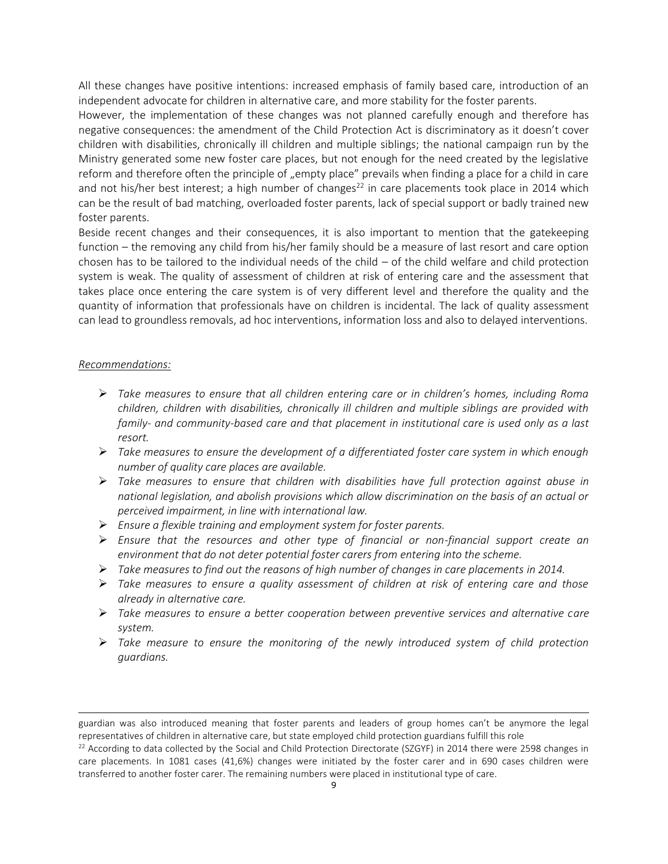All these changes have positive intentions: increased emphasis of family based care, introduction of an independent advocate for children in alternative care, and more stability for the foster parents.

However, the implementation of these changes was not planned carefully enough and therefore has negative consequences: the amendment of the Child Protection Act is discriminatory as it doesn't cover children with disabilities, chronically ill children and multiple siblings; the national campaign run by the Ministry generated some new foster care places, but not enough for the need created by the legislative reform and therefore often the principle of "empty place" prevails when finding a place for a child in care and not his/her best interest; a high number of changes<sup>22</sup> in care placements took place in 2014 which can be the result of bad matching, overloaded foster parents, lack of special support or badly trained new foster parents.

Beside recent changes and their consequences, it is also important to mention that the gatekeeping function – the removing any child from his/her family should be a measure of last resort and care option chosen has to be tailored to the individual needs of the child – of the child welfare and child protection system is weak. The quality of assessment of children at risk of entering care and the assessment that takes place once entering the care system is of very different level and therefore the quality and the quantity of information that professionals have on children is incidental. The lack of quality assessment can lead to groundless removals, ad hoc interventions, information loss and also to delayed interventions.

#### *Recommendations:*

j

- *Take measures to ensure that all children entering care or in children's homes, including Roma children, children with disabilities, chronically ill children and multiple siblings are provided with family- and community-based care and that placement in institutional care is used only as a last resort.*
- *Take measures to ensure the development of a differentiated foster care system in which enough number of quality care places are available.*
- *Take measures to ensure that children with disabilities have full protection against abuse in national legislation, and abolish provisions which allow discrimination on the basis of an actual or perceived impairment, in line with international law.*
- *Ensure a flexible training and employment system for foster parents.*
- *Ensure that the resources and other type of financial or non-financial support create an environment that do not deter potential foster carers from entering into the scheme.*
- $\triangleright$  Take measures to find out the reasons of high number of changes in care placements in 2014.
- *Take measures to ensure a quality assessment of children at risk of entering care and those already in alternative care.*
- *Take measures to ensure a better cooperation between preventive services and alternative care system.*
- *Take measure to ensure the monitoring of the newly introduced system of child protection guardians.*

guardian was also introduced meaning that foster parents and leaders of group homes can't be anymore the legal representatives of children in alternative care, but state employed child protection guardians fulfill this role

<sup>&</sup>lt;sup>22</sup> According to data collected by the Social and Child Protection Directorate (SZGYF) in 2014 there were 2598 changes in care placements. In 1081 cases (41,6%) changes were initiated by the foster carer and in 690 cases children were transferred to another foster carer. The remaining numbers were placed in institutional type of care.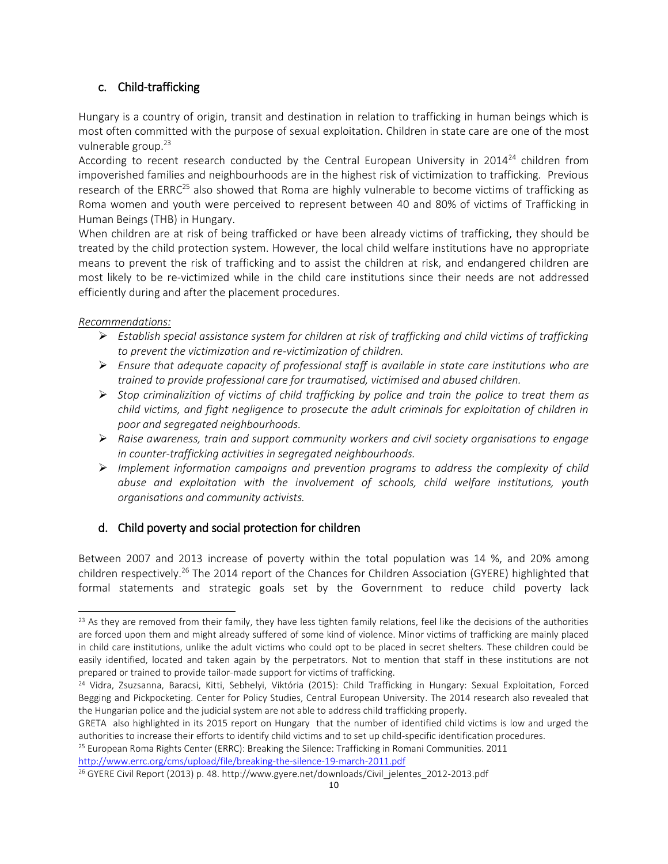# c. Child-trafficking

Hungary is a country of origin, transit and destination in relation to trafficking in human beings which is most often committed with the purpose of sexual exploitation. Children in state care are one of the most vulnerable group. 23

According to recent research conducted by the Central European University in  $2014^{24}$  children from impoverished families and neighbourhoods are in the highest risk of victimization to trafficking. Previous research of the ERRC<sup>25</sup> also showed that Roma are highly vulnerable to become victims of trafficking as Roma women and youth were perceived to represent between 40 and 80% of victims of Trafficking in Human Beings (THB) in Hungary.

When children are at risk of being trafficked or have been already victims of trafficking, they should be treated by the child protection system. However, the local child welfare institutions have no appropriate means to prevent the risk of trafficking and to assist the children at risk, and endangered children are most likely to be re-victimized while in the child care institutions since their needs are not addressed efficiently during and after the placement procedures.

# *Recommendations:*

j

- *Establish special assistance system for children at risk of trafficking and child victims of trafficking to prevent the victimization and re-victimization of children.*
- *Ensure that adequate capacity of professional staff is available in state care institutions who are trained to provide professional care for traumatised, victimised and abused children.*
- *Stop criminalizition of victims of child trafficking by police and train the police to treat them as child victims, and fight negligence to prosecute the adult criminals for exploitation of children in poor and segregated neighbourhoods.*
- *Raise awareness, train and support community workers and civil society organisations to engage in counter-trafficking activities in segregated neighbourhoods.*
- *Implement information campaigns and prevention programs to address the complexity of child abuse and exploitation with the involvement of schools, child welfare institutions, youth organisations and community activists.*

# d. Child poverty and social protection for children

Between 2007 and 2013 increase of poverty within the total population was 14 %, and 20% among children respectively.<sup>26</sup> The 2014 report of the Chances for Children Association (GYERE) highlighted that formal statements and strategic goals set by the Government to reduce child poverty lack

<sup>25</sup> European Roma Rights Center (ERRC): Breaking the Silence: Trafficking in Romani Communities. 2011

<http://www.errc.org/cms/upload/file/breaking-the-silence-19-march-2011.pdf>

 $23$  As they are removed from their family, they have less tighten family relations, feel like the decisions of the authorities are forced upon them and might already suffered of some kind of violence. Minor victims of trafficking are mainly placed in child care institutions, unlike the adult victims who could opt to be placed in secret shelters. These children could be easily identified, located and taken again by the perpetrators. Not to mention that staff in these institutions are not prepared or trained to provide tailor-made support for victims of trafficking.

<sup>24</sup> Vidra, Zsuzsanna, Baracsi, Kitti, Sebhelyi, Viktória (2015): Child Trafficking in Hungary: Sexual Exploitation, Forced Begging and Pickpocketing. Center for Policy Studies, Central European University. The 2014 research also revealed that the Hungarian police and the judicial system are not able to address child trafficking properly.

GRETA also highlighted in its 2015 report on Hungary that the number of identified child victims is low and urged the authorities to increase their efforts to identify child victims and to set up child-specific identification procedures.

<sup>26</sup> GYERE Civil Report (2013) p. 48. http://www.gyere.net/downloads/Civil\_jelentes\_2012-2013.pdf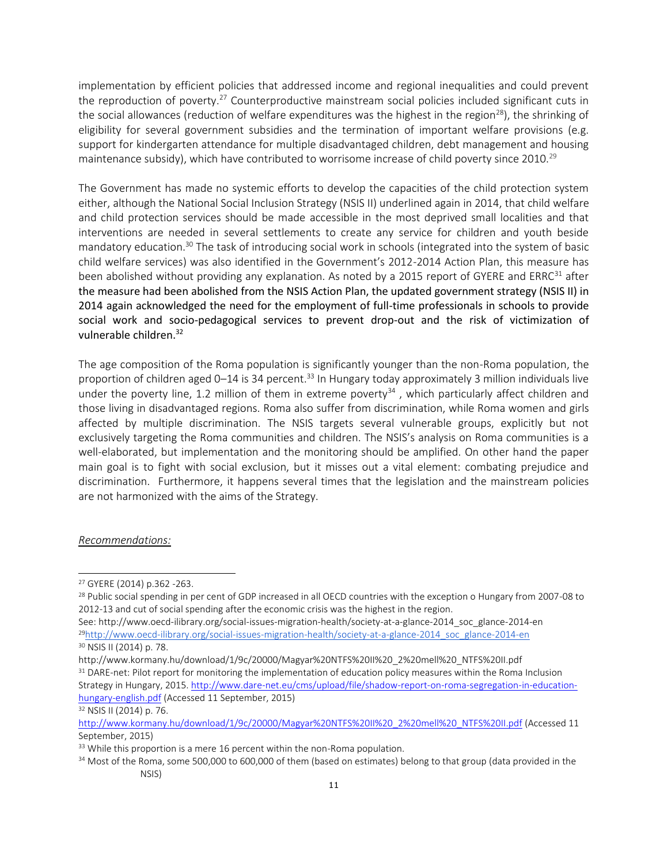implementation by efficient policies that addressed income and regional inequalities and could prevent the reproduction of poverty.<sup>27</sup> Counterproductive mainstream social policies included significant cuts in the social allowances (reduction of welfare expenditures was the highest in the region<sup>28</sup>), the shrinking of eligibility for several government subsidies and the termination of important welfare provisions (e.g. support for kindergarten attendance for multiple disadvantaged children, debt management and housing maintenance subsidy), which have contributed to worrisome increase of child poverty since 2010.<sup>29</sup>

The Government has made no systemic efforts to develop the capacities of the child protection system either, although the National Social Inclusion Strategy (NSIS II) underlined again in 2014, that child welfare and child protection services should be made accessible in the most deprived small localities and that interventions are needed in several settlements to create any service for children and youth beside mandatory education.<sup>30</sup> The task of introducing social work in schools (integrated into the system of basic child welfare services) was also identified in the Government's 2012-2014 Action Plan, this measure has been abolished without providing any explanation. As noted by a 2015 report of GYERE and ERRC<sup>31</sup> after the measure had been abolished from the NSIS Action Plan, the updated government strategy (NSIS II) in 2014 again acknowledged the need for the employment of full-time professionals in schools to provide social work and socio-pedagogical services to prevent drop-out and the risk of victimization of vulnerable children.<sup>32</sup>

The age composition of the Roma population is significantly younger than the non-Roma population, the proportion of children aged 0–14 is 34 percent.<sup>33</sup> In Hungary today approximately 3 million individuals live under the poverty line, 1.2 million of them in extreme poverty<sup>34</sup>, which particularly affect children and those living in disadvantaged regions. Roma also suffer from discrimination, while Roma women and girls affected by multiple discrimination. The NSIS targets several vulnerable groups, explicitly but not exclusively targeting the Roma communities and children. The NSIS's analysis on Roma communities is a well-elaborated, but implementation and the monitoring should be amplified. On other hand the paper main goal is to fight with social exclusion, but it misses out a vital element: combating prejudice and discrimination. Furthermore, it happens several times that the legislation and the mainstream policies are not harmonized with the aims of the Strategy.

#### *Recommendations:*

j

<sup>27</sup> GYERE (2014) p.362 -263.

<sup>&</sup>lt;sup>28</sup> Public social spending in per cent of GDP increased in all OECD countries with the exception o Hungary from 2007-08 to 2012-13 and cut of social spending after the economic crisis was the highest in the region.

See[: http://www.oecd-ilibrary.org/social-issues-migration-health/society-at-a-glance-2014\\_soc\\_glance-2014-en](http://www.oecd-ilibrary.org/social-issues-migration-health/society-at-a-glance-2014_soc_glance-2014-en) <sup>29</sup>[http://www.oecd-ilibrary.org/social-issues-migration-health/society-at-a-glance-2014\\_soc\\_glance-2014-en](http://www.oecd-ilibrary.org/social-issues-migration-health/society-at-a-glance-2014_soc_glance-2014-en) <sup>30</sup> NSIS II (2014) p. 78.

http://www.kormany.hu/download/1/9c/20000/Magyar%20NTFS%20II%20\_2%20mell%20\_NTFS%20II.pdf <sup>31</sup> DARE-net: Pilot report for monitoring the implementation of education policy measures within the Roma Inclusion Strategy in Hungary, 2015[. http://www.dare-net.eu/cms/upload/file/shadow-report-on-roma-segregation-in-education](http://www.dare-net.eu/cms/upload/file/shadow-report-on-roma-segregation-in-education-hungary-english.pdf)[hungary-english.pdf](http://www.dare-net.eu/cms/upload/file/shadow-report-on-roma-segregation-in-education-hungary-english.pdf) (Accessed 11 September, 2015)

<sup>32</sup> NSIS II (2014) p. 76.

[http://www.kormany.hu/download/1/9c/20000/Magyar%20NTFS%20II%20\\_2%20mell%20\\_NTFS%20II.pdf](http://www.kormany.hu/download/1/9c/20000/Magyar%20NTFS%20II%20_2%20mell%20_NTFS%20II.pdf) (Accessed 11 September, 2015)

<sup>&</sup>lt;sup>33</sup> While this proportion is a mere 16 percent within the non-Roma population.

<sup>&</sup>lt;sup>34</sup> Most of the Roma, some 500,000 to 600,000 of them (based on estimates) belong to that group (data provided in the NSIS)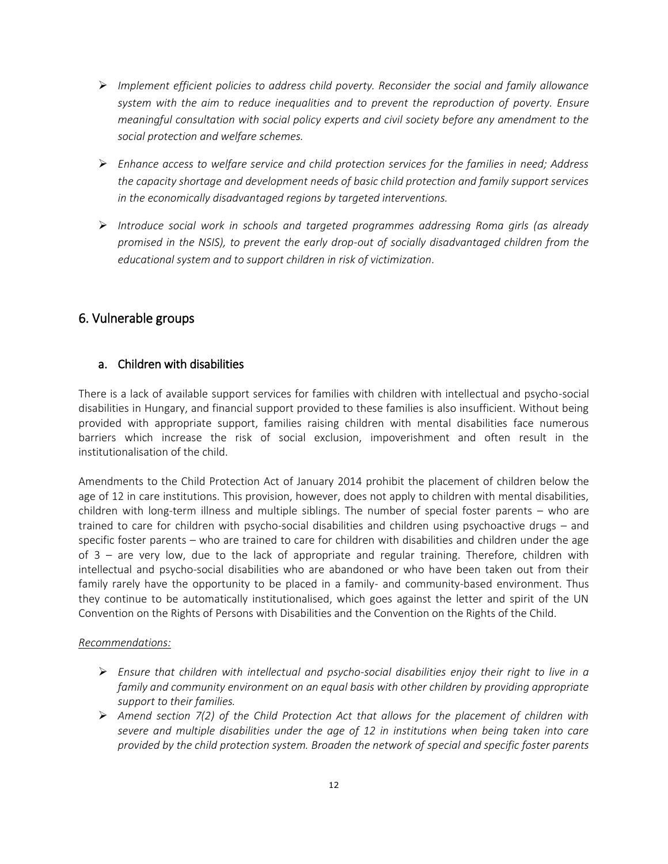- *Implement efficient policies to address child poverty. Reconsider the social and family allowance system with the aim to reduce inequalities and to prevent the reproduction of poverty. Ensure meaningful consultation with social policy experts and civil society before any amendment to the social protection and welfare schemes.*
- *Enhance access to welfare service and child protection services for the families in need; Address the capacity shortage and development needs of basic child protection and family support services in the economically disadvantaged regions by targeted interventions.*
- *Introduce social work in schools and targeted programmes addressing Roma girls (as already promised in the NSIS), to prevent the early drop-out of socially disadvantaged children from the educational system and to support children in risk of victimization.*

# 6. Vulnerable groups

# a. Children with disabilities

There is a lack of available support services for families with children with intellectual and psycho-social disabilities in Hungary, and financial support provided to these families is also insufficient. Without being provided with appropriate support, families raising children with mental disabilities face numerous barriers which increase the risk of social exclusion, impoverishment and often result in the institutionalisation of the child.

Amendments to the Child Protection Act of January 2014 prohibit the placement of children below the age of 12 in care institutions. This provision, however, does not apply to children with mental disabilities, children with long-term illness and multiple siblings. The number of special foster parents – who are trained to care for children with psycho-social disabilities and children using psychoactive drugs – and specific foster parents – who are trained to care for children with disabilities and children under the age of 3 – are very low, due to the lack of appropriate and regular training. Therefore, children with intellectual and psycho-social disabilities who are abandoned or who have been taken out from their family rarely have the opportunity to be placed in a family- and community-based environment. Thus they continue to be automatically institutionalised, which goes against the letter and spirit of the UN Convention on the Rights of Persons with Disabilities and the Convention on the Rights of the Child.

# *Recommendations:*

- *Ensure that children with intellectual and psycho-social disabilities enjoy their right to live in a family and community environment on an equal basis with other children by providing appropriate support to their families.*
- *Amend section 7(2) of the Child Protection Act that allows for the placement of children with severe and multiple disabilities under the age of 12 in institutions when being taken into care provided by the child protection system. Broaden the network of special and specific foster parents*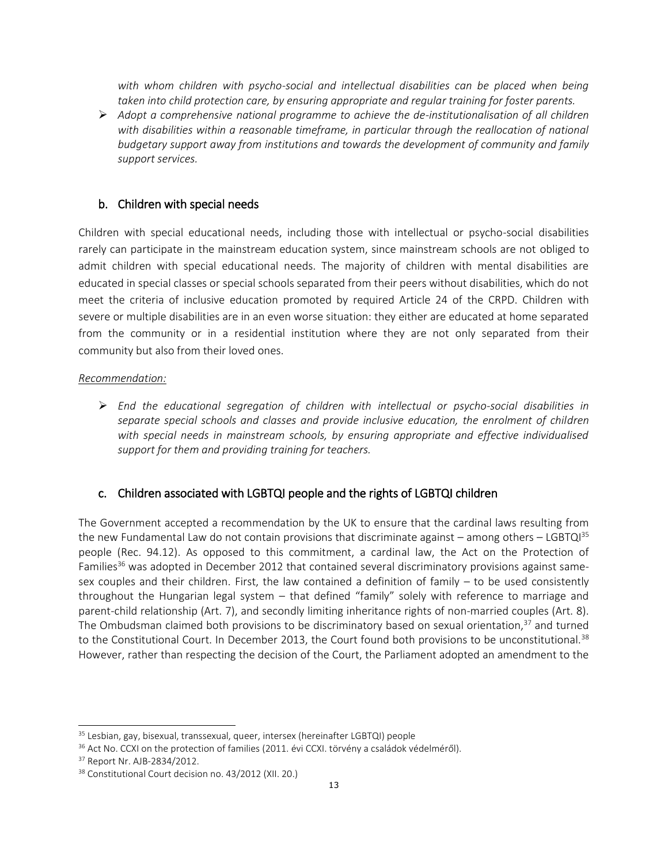with whom children with psycho-social and intellectual disabilities can be placed when being *taken into child protection care, by ensuring appropriate and regular training for foster parents.* 

 *Adopt a comprehensive national programme to achieve the de-institutionalisation of all children*  with disabilities within a reasonable timeframe, in particular through the reallocation of national *budgetary support away from institutions and towards the development of community and family support services.*

# b. Children with special needs

Children with special educational needs, including those with intellectual or psycho-social disabilities rarely can participate in the mainstream education system, since mainstream schools are not obliged to admit children with special educational needs. The majority of children with mental disabilities are educated in special classes or special schools separated from their peers without disabilities, which do not meet the criteria of inclusive education promoted by required Article 24 of the CRPD. Children with severe or multiple disabilities are in an even worse situation: they either are educated at home separated from the community or in a residential institution where they are not only separated from their community but also from their loved ones.

### *Recommendation:*

 *End the educational segregation of children with intellectual or psycho-social disabilities in separate special schools and classes and provide inclusive education, the enrolment of children with special needs in mainstream schools, by ensuring appropriate and effective individualised support for them and providing training for teachers.* 

# c. Children associated with LGBTQI people and the rights of LGBTQI children

The Government accepted a recommendation by the UK to ensure that the cardinal laws resulting from the new Fundamental Law do not contain provisions that discriminate against – among others – LGBTQ $1^{35}$ people (Rec. 94.12). As opposed to this commitment, a cardinal law, the Act on the Protection of Families<sup>36</sup> was adopted in December 2012 that contained several discriminatory provisions against samesex couples and their children. First, the law contained a definition of family – to be used consistently throughout the Hungarian legal system – that defined "family" solely with reference to marriage and parent-child relationship (Art. 7), and secondly limiting inheritance rights of non-married couples (Art. 8). The Ombudsman claimed both provisions to be discriminatory based on sexual orientation, $37$  and turned to the Constitutional Court. In December 2013, the Court found both provisions to be unconstitutional.<sup>38</sup> However, rather than respecting the decision of the Court, the Parliament adopted an amendment to the

j

<sup>&</sup>lt;sup>35</sup> Lesbian, gay, bisexual, transsexual, queer, intersex (hereinafter LGBTQI) people

<sup>&</sup>lt;sup>36</sup> Act No. CCXI on the protection of families (2011. évi CCXI. törvény a családok védelméről).

<sup>37</sup> Report Nr. AJB-2834/2012.

<sup>38</sup> Constitutional Court decision no. 43/2012 (XII. 20.)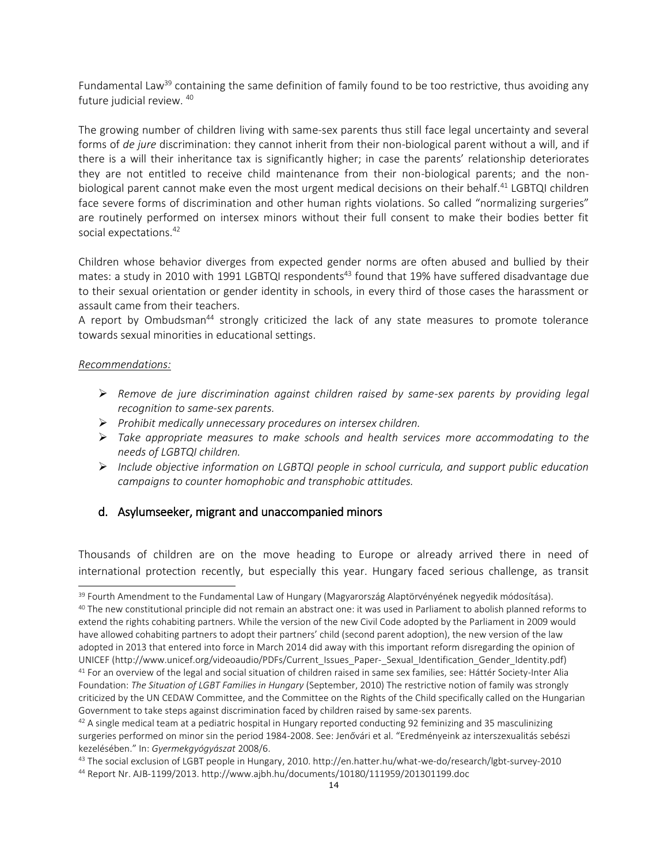Fundamental Law<sup>39</sup> containing the same definition of family found to be too restrictive, thus avoiding any future judicial review. <sup>40</sup>

The growing number of children living with same-sex parents thus still face legal uncertainty and several forms of *de jure* discrimination: they cannot inherit from their non-biological parent without a will, and if there is a will their inheritance tax is significantly higher; in case the parents' relationship deteriorates they are not entitled to receive child maintenance from their non-biological parents; and the nonbiological parent cannot make even the most urgent medical decisions on their behalf.<sup>41</sup> LGBTQI children face severe forms of discrimination and other human rights violations. So called "normalizing surgeries" are routinely performed on intersex minors without their full consent to make their bodies better fit social expectations.<sup>42</sup>

Children whose behavior diverges from expected gender norms are often abused and bullied by their mates: a study in 2010 with 1991 LGBTQI respondents<sup>43</sup> found that 19% have suffered disadvantage due to their sexual orientation or gender identity in schools, in every third of those cases the harassment or assault came from their teachers.

A report by Ombudsman<sup>44</sup> strongly criticized the lack of any state measures to promote tolerance towards sexual minorities in educational settings.

#### *Recommendations:*

 $\overline{\phantom{0}}$ 

- *Remove de jure discrimination against children raised by same-sex parents by providing legal recognition to same-sex parents.*
- *Prohibit medically unnecessary procedures on intersex children.*
- *Take appropriate measures to make schools and health services more accommodating to the needs of LGBTQI children.*
- *Include objective information on LGBTQI people in school curricula, and support public education campaigns to counter homophobic and transphobic attitudes.*

# d. Asylumseeker, migrant and unaccompanied minors

Thousands of children are on the move heading to Europe or already arrived there in need of international protection recently, but especially this year. Hungary faced serious challenge, as transit

<sup>&</sup>lt;sup>39</sup> Fourth Amendment to the Fundamental Law of Hungary (Magyarország Alaptörvényének negyedik módosítása).

<sup>&</sup>lt;sup>40</sup> The new constitutional principle did not remain an abstract one: it was used in Parliament to abolish planned reforms to extend the rights cohabiting partners. While the version of the new Civil Code adopted by the Parliament in 2009 would have allowed cohabiting partners to adopt their partners' child (second parent adoption), the new version of the law adopted in 2013 that entered into force in March 2014 did away with this important reform disregarding the opinion of UNICEF (http://www.unicef.org/videoaudio/PDFs/Current\_Issues\_Paper-\_Sexual\_Identification\_Gender\_Identity.pdf) <sup>41</sup> For an overview of the legal and social situation of children raised in same sex families, see: Háttér Society-Inter Alia Foundation: *The Situation of LGBT Families in Hungary* (September, 2010) The restrictive notion of family was strongly criticized by the UN CEDAW Committee, and the Committee on the Rights of the Child specifically called on the Hungarian Government to take steps against discrimination faced by children raised by same-sex parents.

 $42$  A single medical team at a pediatric hospital in Hungary reported conducting 92 feminizing and 35 masculinizing surgeries performed on minor sin the period 1984-2008. See: Jenővári et al. "Eredményeink az interszexualitás sebészi kezelésében." In: *Gyermekgyógyászat* 2008/6.

<sup>43</sup> The social exclusion of LGBT people in Hungary, 2010. http://en.hatter.hu/what-we-do/research/lgbt-survey-2010 <sup>44</sup> Report Nr. AJB-1199/2013. http://www.ajbh.hu/documents/10180/111959/201301199.doc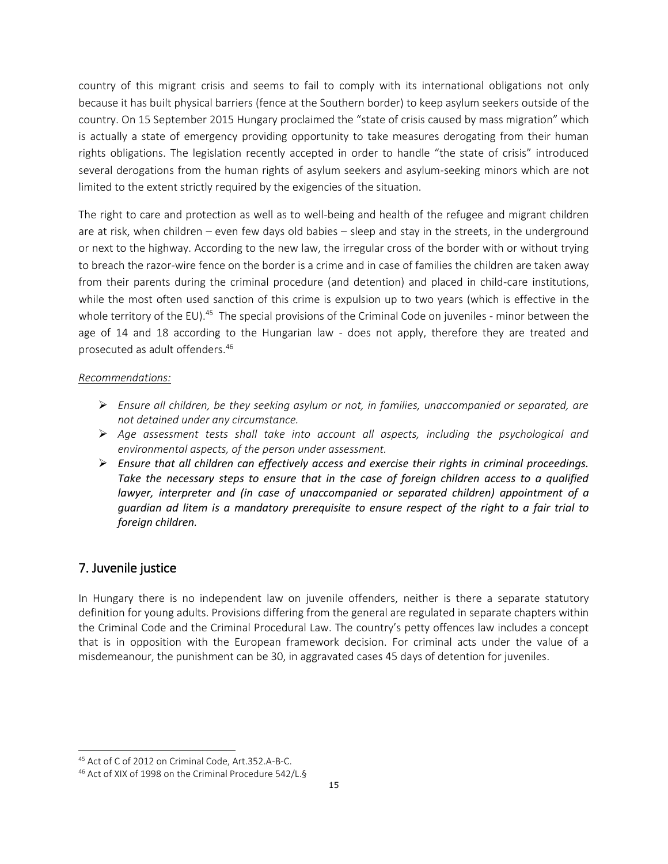country of this migrant crisis and seems to fail to comply with its international obligations not only because it has built physical barriers (fence at the Southern border) to keep asylum seekers outside of the country. On 15 September 2015 Hungary proclaimed the "state of crisis caused by mass migration" which is actually a state of emergency providing opportunity to take measures derogating from their human rights obligations. The legislation recently accepted in order to handle "the state of crisis" introduced several derogations from the human rights of asylum seekers and asylum-seeking minors which are not limited to the extent strictly required by the exigencies of the situation.

The right to care and protection as well as to well-being and health of the refugee and migrant children are at risk, when children – even few days old babies – sleep and stay in the streets, in the underground or next to the highway. According to the new law, the irregular cross of the border with or without trying to breach the razor-wire fence on the border is a crime and in case of families the children are taken away from their parents during the criminal procedure (and detention) and placed in child-care institutions, while the most often used sanction of this crime is expulsion up to two years (which is effective in the whole territory of the EU).<sup>45</sup> The special provisions of the Criminal Code on juveniles - minor between the age of 14 and 18 according to the Hungarian law - does not apply, therefore they are treated and prosecuted as adult offenders.<sup>46</sup>

# *Recommendations:*

- *Ensure all children, be they seeking asylum or not, in families, unaccompanied or separated, are not detained under any circumstance.*
- *Age assessment tests shall take into account all aspects, including the psychological and environmental aspects, of the person under assessment.*
- *Ensure that all children can effectively access and exercise their rights in criminal proceedings. Take the necessary steps to ensure that in the case of foreign children access to a qualified lawyer, interpreter and (in case of unaccompanied or separated children) appointment of a guardian ad litem is a mandatory prerequisite to ensure respect of the right to a fair trial to foreign children.*

# 7. Juvenile justice

 $\overline{\phantom{0}}$ 

In Hungary there is no independent law on juvenile offenders, neither is there a separate statutory definition for young adults. Provisions differing from the general are regulated in separate chapters within the Criminal Code and the Criminal Procedural Law. The country's petty offences law includes a concept that is in opposition with the European framework decision. For criminal acts under the value of a misdemeanour, the punishment can be 30, in aggravated cases 45 days of detention for juveniles.

<sup>45</sup> Act of C of 2012 on Criminal Code, Art.352.A-B-C.

<sup>46</sup> Act of XIX of 1998 on the Criminal Procedure 542/L.§